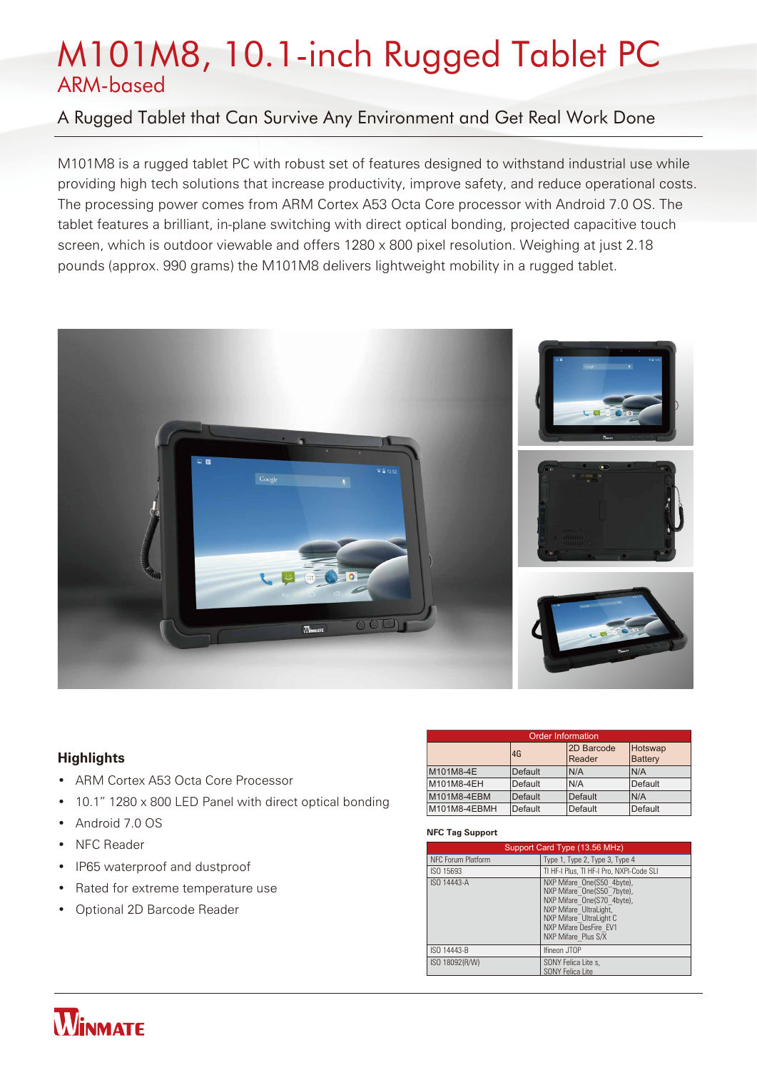# M101M8, 10.1-inch Rugged Tablet PC ARM-based

# A Rugged Tablet that Can Survive Any Environment and Get Real Work Done

M101M8 is a rugged tablet PC with robust set of features designed to withstand industrial use while providing high tech solutions that increase productivity, improve safety, and reduce operational costs. The processing power comes from ARM Cortex A53 Octa Core processor with Android 7.0 OS. The tablet features a brilliant, in-plane switching with direct optical bonding, projected capacitive touch screen, which is outdoor viewable and offers 1280 x 800 pixel resolution. Weighing at just 2.18 pounds (approx. 990 grams) the M101M8 delivers lightweight mobility in a rugged tablet.



# **Highlights**

- ARM Cortex A53 Octa Core Processor
- 10.1" 1280 x 800 LED Panel with direct optical bonding
- Android 7.0 OS
- NFC Reader
- IP65 waterproof and dustproof
- Rated for extreme temperature use
- Optional 2D Barcode Reader

| <b>Order Information</b> |                |                      |                                  |  |
|--------------------------|----------------|----------------------|----------------------------------|--|
|                          | 4G             | 2D Barcode<br>Reader | <b>Hotswap</b><br><b>Battery</b> |  |
| M101M8-4E                | <b>Default</b> | N/A                  | N/A                              |  |
| M101M8-4EH               | Default        | N/A                  | Default                          |  |
| M101M8-4EBM              | <b>Default</b> | Default              | N/A                              |  |
| M101M8-4EBMH             | Default        | Default              | Default                          |  |

## **NFC Tag Support**

| Support Card Type (13.56 MHz) |                                                                                                                                                                                              |
|-------------------------------|----------------------------------------------------------------------------------------------------------------------------------------------------------------------------------------------|
| <b>NFC Forum Platform</b>     | Type 1, Type 2, Type 3, Type 4                                                                                                                                                               |
| ISO 15693                     | TI HF-I Plus, TI HF-I Pro, NXPI-Code SLI                                                                                                                                                     |
| ISO 14443-A                   | NXP Mifare One(S50 4byte),<br>NXP Mifare One(S50 7byte),<br>NXP Mifare One(S70 4byte),<br>NXP Mifare UltraLight,<br>NXP Mifare UltraLight C<br>NXP Mifare DesFire EV1<br>NXP Mifare Plus S/X |
| ISO 14443-B                   | <b>Ifineon JTOP</b>                                                                                                                                                                          |
| ISO 18092(R/W)                | SONY Felica Lite s.<br><b>SONY Felica Lite</b>                                                                                                                                               |

# **WINMATE**